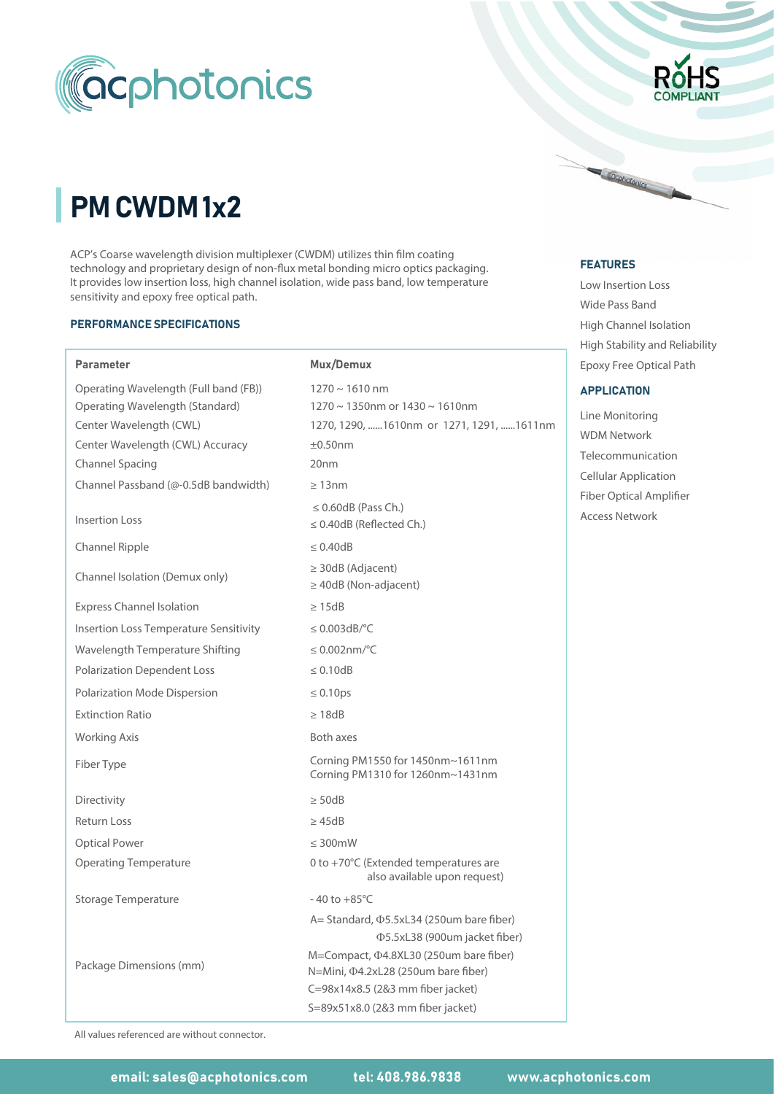

# PM CWDM 1x2

ACP's Coarse wavelength division multiplexer (CWDM) utilizes thin film coating technology and proprietary design of non-flux metal bonding micro optics packaging. It provides low insertion loss, high channel isolation, wide pass band, low temperature sensitivity and epoxy free optical path.

#### PERFORMANCE SPECIFICATIONS

Parameter

Insertion Loss

Channel Spacing

Channel Ripple

Return Loss

Optical Power

Directivity

#### 1270 ~ 1610 nm 1270 ~ 1350nm or 1430 ~ 1610nm Operating Wavelength (Full band (FB)) ≥ 50dB Polarization Dependent Loss  $\leq$  0.60dB (Pass Ch.) ≤ 0.40dB (Reflected Ch.) Channel Passband (@-0.5dB bandwidth) 0 to +70°C (Extended temperatures are also available upon request) Polarization Mode Dispersion M=Compact,  $\Phi$ 4.8XL30 (250um bare fiber) ≥ 13nm ≥ 40dB (Non-adjacent) N=Mini,  $\Phi$ 4.2xL28 (250um bare fiber) Channel Isolation (Demux only) ≤ 0.10ps Express Channel Isolation Insertion Loss Temperature Sensitivity A= Standard,  $\Phi$ 5.5xL34 (250um bare fiber) Wavelength Temperature Shifting )5.5xL38 (900um jacket fiber) Operating Temperature Storage Temperature Package Dimensions (mm) 1270, 1290, ......1610nm or 1271, 1291, ......1611nm Mux/Demux Center Wavelength (CWL) 20nm ±0.50nm ≤ 0.003dB/°C ≤ 0.002nm/°C ≤ 0.40dB ≥ 30dB (Adjacent) ≥ 15dB ≤ 300mW ≤ 0.10dB C=98x14x8.5 (2&3 mm fiber jacket)  $-40$  to  $+85^{\circ}$ C S=89x51x8.0 (2&3 mm fiber jacket) Operating Wavelength (Standard) Center Wavelength (CWL) Accuracy ≥ 45dB Extinction Ratio ≥ 18dB Working Axis **Both axes** Both axes Fiber Type Corning PM1550 for 1450nm~1611nm Corning PM1310 for 1260nm~1431nm



#### FEATURES FEATURES

Cochotonics

Low Insertion Loss Wide Pass Band High Channel Isolation Epoxy Free Optical Path High Stability and Reliability

#### **APPLICATION**

WDM Network Line Monitoring Telecommunication Cellular Application Access Network Fiber Optical Amplifier

All values referenced are without connector.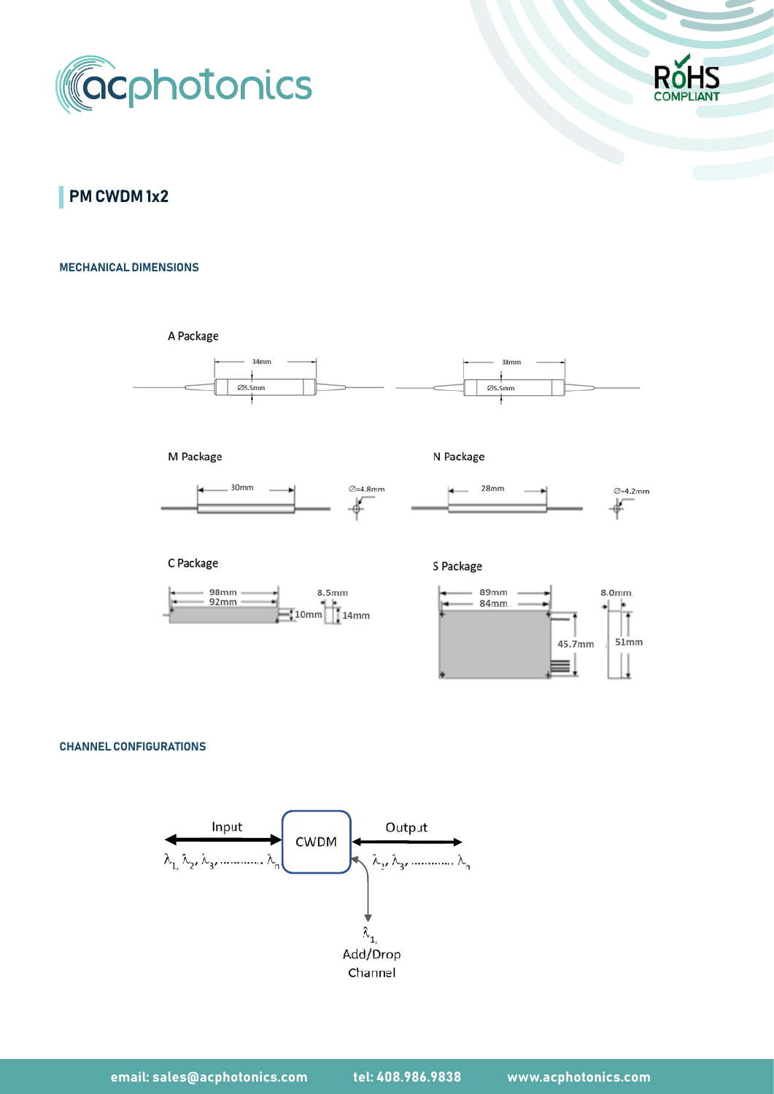



**PM CWDM 1x2** 

### MECHANICAL DIMENSIONS

A Package



M Package



C Package







S Package



#### CHANNEL CONFIGURATIONS